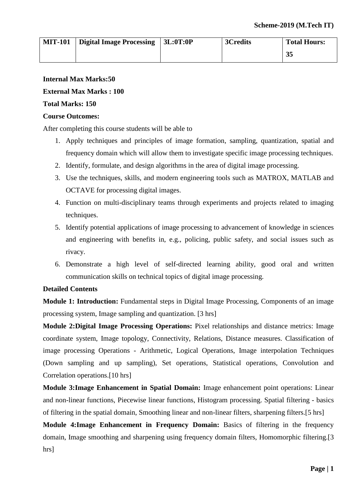| <b>MIT-101</b> | Digital Image Processing | 13L:0T:0P | 3Credits | <b>Total Hours:</b> |
|----------------|--------------------------|-----------|----------|---------------------|
|                |                          |           |          | 35                  |

# **Internal Max Marks:50**

#### **External Max Marks : 100**

### **Total Marks: 150**

#### **Course Outcomes:**

After completing this course students will be able to

- 1. Apply techniques and principles of image formation, sampling, quantization, spatial and frequency domain which will allow them to investigate specific image processing techniques.
- 2. Identify, formulate, and design algorithms in the area of digital image processing.
- 3. Use the techniques, skills, and modern engineering tools such as MATROX, MATLAB and OCTAVE for processing digital images.
- 4. Function on multi-disciplinary teams through experiments and projects related to imaging techniques.
- 5. Identify potential applications of image processing to advancement of knowledge in sciences and engineering with benefits in, e.g., policing, public safety, and social issues such as rivacy.
- 6. Demonstrate a high level of self-directed learning ability, good oral and written communication skills on technical topics of digital image processing.

#### **Detailed Contents**

**Module 1: Introduction:** Fundamental steps in Digital Image Processing, Components of an image processing system, Image sampling and quantization. [3 hrs]

**Module 2:Digital Image Processing Operations:** Pixel relationships and distance metrics: Image coordinate system, Image topology, Connectivity, Relations, Distance measures. Classification of image processing Operations - Arithmetic, Logical Operations, Image interpolation Techniques (Down sampling and up sampling), Set operations, Statistical operations, Convolution and Correlation operations.[10 hrs]

**Module 3:Image Enhancement in Spatial Domain:** Image enhancement point operations: Linear and non-linear functions, Piecewise linear functions, Histogram processing. Spatial filtering - basics of filtering in the spatial domain, Smoothing linear and non-linear filters, sharpening filters.[5 hrs]

**Module 4:Image Enhancement in Frequency Domain:** Basics of filtering in the frequency domain, Image smoothing and sharpening using frequency domain filters, Homomorphic filtering.[3 hrs]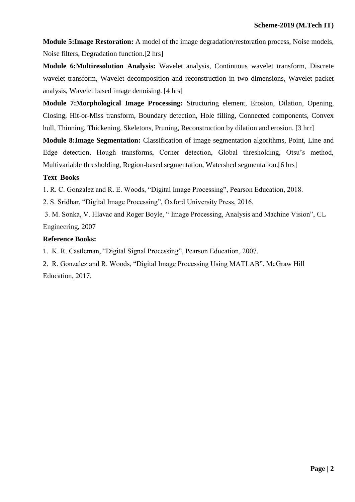**Module 5:Image Restoration:** A model of the image degradation/restoration process, Noise models, Noise filters, Degradation function.[2 hrs]

**Module 6:Multiresolution Analysis:** Wavelet analysis, Continuous wavelet transform, Discrete wavelet transform, Wavelet decomposition and reconstruction in two dimensions, Wavelet packet analysis, Wavelet based image denoising. [4 hrs]

**Module 7:Morphological Image Processing:** Structuring element, Erosion, Dilation, Opening, Closing, Hit-or-Miss transform, Boundary detection, Hole filling, Connected components, Convex hull, Thinning, Thickening, Skeletons, Pruning, Reconstruction by dilation and erosion. [3 hrr]

**Module 8:Image Segmentation:** Classification of image segmentation algorithms, Point, Line and Edge detection, Hough transforms, Corner detection, Global thresholding, Otsu's method, Multivariable thresholding, Region-based segmentation, Watershed segmentation.[6 hrs]

# **Text Books**

1. R. C. Gonzalez and R. E. Woods, "Digital Image Processing", Pearson Education, 2018.

2. S. Sridhar, "Digital Image Processing", Oxford University Press, 2016.

3. M. Sonka, V. Hlavac and Roger Boyle, " Image Processing, Analysis and Machine Vision", CL Engineering, 2007

# **Reference Books:**

1. K. R. Castleman, "Digital Signal Processing", Pearson Education, 2007.

2. R. Gonzalez and R. Woods, "Digital Image Processing Using MATLAB", McGraw Hill Education, 2017.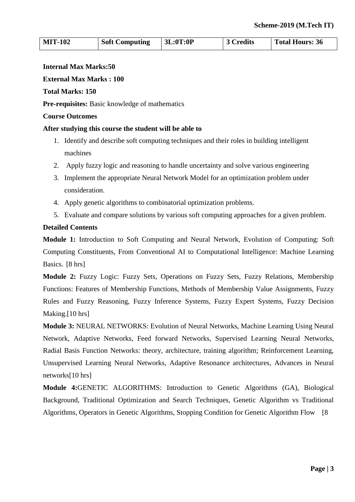| <b>MIT-102</b> | <b>Soft Computing</b> | $\vert$ 3L:0T:0P | 3 Credits | Total Hours: 36 |
|----------------|-----------------------|------------------|-----------|-----------------|
|                |                       |                  |           |                 |

#### **Internal Max Marks:50**

#### **External Max Marks : 100**

#### **Total Marks: 150**

**Pre-requisites:** Basic knowledge of mathematics

#### **Course Outcomes**

#### **After studying this course the student will be able to**

- 1. Identify and describe soft computing techniques and their roles in building intelligent machines
- 2. Apply fuzzy logic and reasoning to handle uncertainty and solve various engineering
- 3. Implement the appropriate Neural Network Model for an optimization problem under consideration.
- 4. Apply genetic algorithms to combinatorial optimization problems.
- 5. Evaluate and compare solutions by various soft computing approaches for a given problem.

#### **Detailed Contents**

**Module 1:** Introduction to Soft Computing and Neural Network, Evolution of Computing: Soft Computing Constituents, From Conventional AI to Computational Intelligence: Machine Learning Basics. [8 hrs]

**Module 2:** Fuzzy Logic: Fuzzy Sets, Operations on Fuzzy Sets, Fuzzy Relations, Membership Functions: Features of Membership Functions, Methods of Membership Value Assignments, Fuzzy Rules and Fuzzy Reasoning, Fuzzy Inference Systems, Fuzzy Expert Systems, Fuzzy Decision Making.<sup>[10 hrs]</sup>

**Module 3:** NEURAL NETWORKS: Evolution of Neural Networks, Machine Learning Using Neural Network, Adaptive Networks, Feed forward Networks, Supervised Learning Neural Networks, Radial Basis Function Networks: theory, architecture, training algorithm; Reinforcement Learning, Unsupervised Learning Neural Networks, Adaptive Resonance architectures, Advances in Neural networks[10 hrs]

**Module 4:**GENETIC ALGORITHMS: Introduction to Genetic Algorithms (GA), Biological Background, Traditional Optimization and Search Techniques, Genetic Algorithm vs Traditional Algorithms, Operators in Genetic Algorithms, Stopping Condition for Genetic Algorithm Flow [8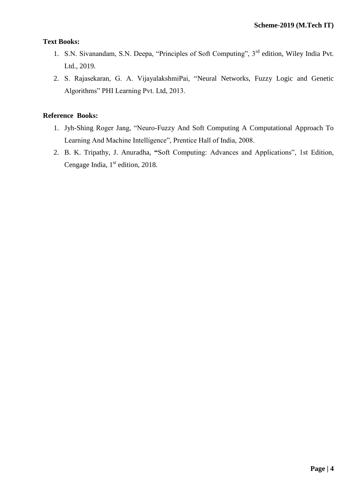# **Text Books:**

- 1. S.N. Sivanandam, S.N. Deepa, "Principles of Soft Computing", 3rd edition, Wiley India Pvt. Ltd., 2019.
- 2. S. Rajasekaran, G. A. VijayalakshmiPai, "Neural Networks, Fuzzy Logic and Genetic Algorithms" PHI Learning Pvt. Ltd, 2013.

- 1. Jyh-Shing Roger Jang, "Neuro-Fuzzy And Soft Computing A Computational Approach To Learning And Machine Intelligence", Prentice Hall of India, 2008.
- 2. B. K. Tripathy, J. Anuradha, **"**Soft Computing: Advances and Applications", 1st Edition, Cengage India,  $1<sup>st</sup>$  edition, 2018.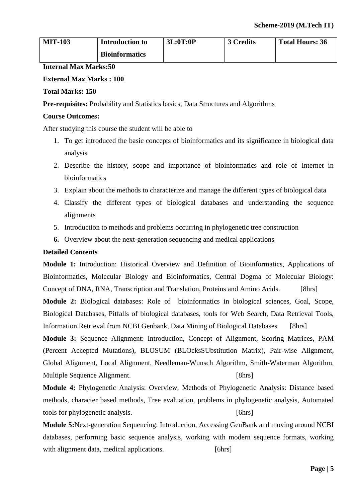| <b>MIT-103</b> | <b>Introduction to</b> | 3L:0T:0P | 3 Credits | <b>Total Hours: 36</b> |
|----------------|------------------------|----------|-----------|------------------------|
|                | <b>Bioinformatics</b>  |          |           |                        |

**Internal Max Marks:50**

# **External Max Marks : 100**

# **Total Marks: 150**

**Pre-requisites:** Probability and Statistics basics, Data Structures and Algorithms

# **Course Outcomes:**

After studying this course the student will be able to

- 1. To get introduced the basic concepts of bioinformatics and its significance in biological data analysis
- 2. Describe the history, scope and importance of bioinformatics and role of Internet in bioinformatics
- 3. Explain about the methods to characterize and manage the different types of biological data
- 4. Classify the different types of biological databases and understanding the sequence alignments
- 5. Introduction to methods and problems occurring in phylogenetic tree construction
- **6.** Overview about the next-generation sequencing and medical applications

# **Detailed Contents**

**Module 1:** Introduction: Historical Overview and Definition of Bioinformatics, Applications of Bioinformatics, Molecular Biology and Bioinformatics, Central Dogma of Molecular Biology: Concept of DNA, RNA, Transcription and Translation, Proteins and Amino Acids. [8hrs] **Module 2:** Biological databases: Role of bioinformatics in biological sciences, Goal, Scope, Biological Databases, Pitfalls of biological databases, tools for Web Search, Data Retrieval Tools, Information Retrieval from NCBI Genbank, Data Mining of Biological Databases [8hrs]

**Module 3:** Sequence Alignment: Introduction, Concept of Alignment, Scoring Matrices, PAM (Percent Accepted Mutations), BLOSUM (BLOcksSUbstitution Matrix), Pair-wise Alignment, Global Alignment, Local Alignment, Needleman-Wunsch Algorithm, Smith-Waterman Algorithm, Multiple Sequence Alignment. [8hrs]

**Module 4:** Phylogenetic Analysis: Overview, Methods of Phylogenetic Analysis: Distance based methods, character based methods, Tree evaluation, problems in phylogenetic analysis, Automated tools for phylogenetic analysis. [6hrs]

**Module 5:**Next-generation Sequencing: Introduction, Accessing GenBank and moving around NCBI databases, performing basic sequence analysis, working with modern sequence formats, working with alignment data, medical applications. [6hrs]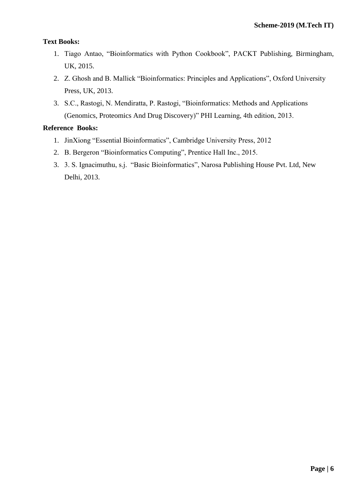# **Text Books:**

- 1. Tiago Antao, "Bioinformatics with Python Cookbook", PACKT Publishing, Birmingham, UK, 2015.
- 2. Z. Ghosh and B. Mallick "Bioinformatics: Principles and Applications", Oxford University Press, UK, 2013.
- 3. S.C., Rastogi, N. Mendiratta, P. Rastogi, "Bioinformatics: Methods and Applications (Genomics, Proteomics And Drug Discovery)" PHI Learning, 4th edition, 2013.

- 1. JinXiong "Essential Bioinformatics", Cambridge University Press, 2012
- 2. B. Bergeron "Bioinformatics Computing", Prentice Hall Inc., 2015.
- 3. 3. S. Ignacimuthu, s.j. "Basic Bioinformatics", Narosa Publishing House Pvt. Ltd, New Delhi, 2013.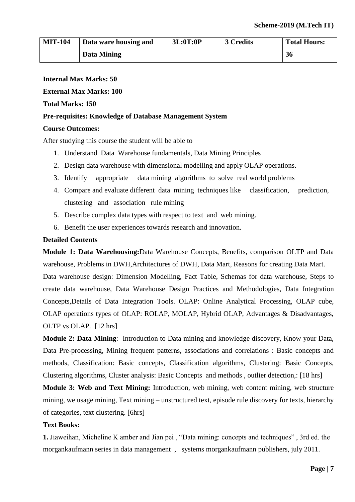| <b>MIT-104</b> | Data ware housing and | 3L:0T:0P | 3 Credits | <b>Total Hours:</b> |
|----------------|-----------------------|----------|-----------|---------------------|
|                | Data Mining           |          |           | 36                  |

### **Internal Max Marks: 50**

#### **External Max Marks: 100**

#### **Total Marks: 150**

#### **Pre-requisites: Knowledge of Database Management System**

#### **Course Outcomes:**

After studying this course the student will be able to

- 1. Understand Data Warehouse fundamentals, Data Mining Principles
- 2. Design data warehouse with dimensional modelling and apply OLAP operations.
- 3. Identify appropriate data mining algorithms to solve real world problems
- 4. Compare and evaluate different data mining techniques like classification, prediction, clustering and association rule mining
- 5. Describe complex data types with respect to text and web mining.
- 6. Benefit the user experiences towards research and innovation.

#### **Detailed Contents**

**Module 1: Data Warehousing:**Data Warehouse Concepts, Benefits, comparison OLTP and Data warehouse, Problems in DWH,Architectures of DWH, Data Mart, Reasons for creating Data Mart.

Data warehouse design: Dimension Modelling, Fact Table, Schemas for data warehouse, Steps to create data warehouse, Data Warehouse Design Practices and Methodologies, Data Integration Concepts,Details of Data Integration Tools. OLAP: Online Analytical Processing, OLAP cube, OLAP operations types of OLAP: ROLAP, MOLAP, Hybrid OLAP, Advantages & Disadvantages, OLTP vs OLAP. [12 hrs]

**Module 2: Data Mining**: Introduction to Data mining and knowledge discovery, Know your Data, Data Pre-processing, Mining frequent patterns, associations and correlations : Basic concepts and methods, Classification: Basic concepts, Classification algorithms, Clustering: Basic Concepts, Clustering algorithms, Cluster analysis: Basic Concepts and methods , outlier detection,: [18 hrs]

**Module 3: Web and Text Mining:** Introduction, web mining, web content mining, web structure mining, we usage mining, Text mining – unstructured text, episode rule discovery for texts, hierarchy of categories, text clustering. [6hrs]

#### **Text Books:**

**1.** Jiaweihan, Micheline K amber and Jian pei , "Data mining: concepts and techniques" , 3rd ed. the morgankaufmann series in data management , systems morgankaufmann publishers, july 2011.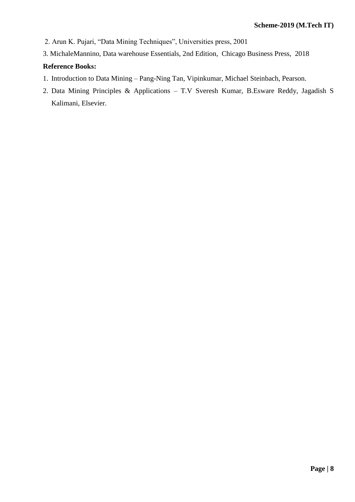- 2. Arun K. Pujari, "Data Mining Techniques", Universities press, 2001
- 3. MichaleMannino, Data warehouse Essentials, 2nd Edition, Chicago Business Press, 2018

- 1. Introduction to Data Mining Pang-Ning Tan, Vipinkumar, Michael Steinbach, Pearson.
- 2. Data Mining Principles & Applications T.V Sveresh Kumar, B.Esware Reddy, Jagadish S Kalimani, Elsevier.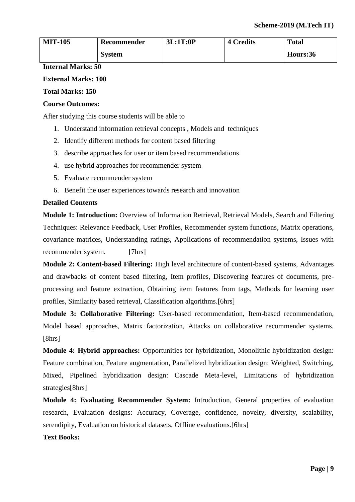| <b>MIT-105</b> | Recommender   | 3L:1T:0P | <b>4 Credits</b> | <b>Total</b> |
|----------------|---------------|----------|------------------|--------------|
|                | <b>System</b> |          |                  | Hours:36     |

### **External Marks: 100**

### **Total Marks: 150**

#### **Course Outcomes:**

After studying this course students will be able to

- 1. Understand information retrieval concepts , Models and techniques
- 2. Identify different methods for content based filtering
- 3. describe approaches for user or item based recommendations
- 4. use hybrid approaches for recommender system
- 5. Evaluate recommender system
- 6. Benefit the user experiences towards research and innovation

#### **Detailed Contents**

**Module 1: Introduction:** Overview of Information Retrieval, Retrieval Models, Search and Filtering Techniques: Relevance Feedback, User Profiles, Recommender system functions, Matrix operations, covariance matrices, Understanding ratings, Applications of recommendation systems, Issues with recommender system. [7hrs]

**Module 2: Content-based Filtering:** High level architecture of content-based systems, Advantages and drawbacks of content based filtering, Item profiles, Discovering features of documents, preprocessing and feature extraction, Obtaining item features from tags, Methods for learning user profiles, Similarity based retrieval, Classification algorithms.[6hrs]

**Module 3: Collaborative Filtering:** User-based recommendation, Item-based recommendation, Model based approaches, Matrix factorization, Attacks on collaborative recommender systems. [8hrs]

**Module 4: Hybrid approaches:** Opportunities for hybridization, Monolithic hybridization design: Feature combination, Feature augmentation, Parallelized hybridization design: Weighted, Switching, Mixed, Pipelined hybridization design: Cascade Meta-level, Limitations of hybridization strategies[8hrs]

**Module 4: Evaluating Recommender System:** Introduction, General properties of evaluation research, Evaluation designs: Accuracy, Coverage, confidence, novelty, diversity, scalability, serendipity, Evaluation on historical datasets, Offline evaluations.[6hrs]

#### **Text Books:**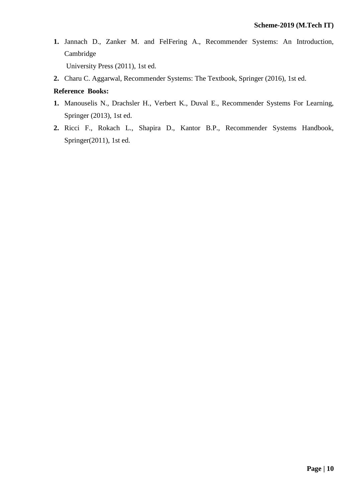**1.** Jannach D., Zanker M. and FelFering A., Recommender Systems: An Introduction, Cambridge

University Press (2011), 1st ed.

**2.** Charu C. Aggarwal, Recommender Systems: The Textbook, Springer (2016), 1st ed.

- **1.** Manouselis N., Drachsler H., Verbert K., Duval E., Recommender Systems For Learning, Springer (2013), 1st ed.
- **2.** Ricci F., Rokach L., Shapira D., Kantor B.P., Recommender Systems Handbook, Springer(2011), 1st ed.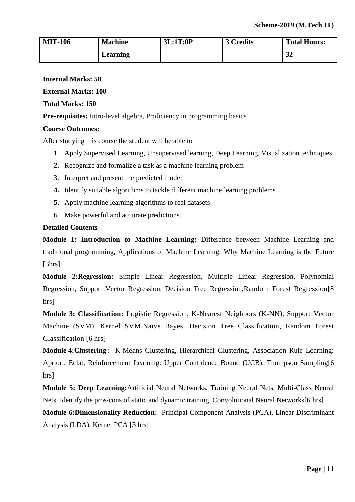| <b>MIT-106</b> | <b>Machine</b> | 3L:1T:0P | 3 Credits | <b>Total Hours:</b> |
|----------------|----------------|----------|-----------|---------------------|
|                | Learning       |          |           | 32                  |

#### **External Marks: 100**

#### **Total Marks: 150**

**Pre-requisites:** Intro-level algebra, Proficiency in programming basics

#### **Course Outcomes:**

After studying this course the student will be able to

- 1. Apply Supervised Learning, Unsupervised learning, Deep Learning, Visualization techniques
- **2.** Recognize and formalize a task as a machine learning problem
- 3. Interpret and present the predicted model
- **4.** Identify suitable algorithms to tackle different machine learning problems
- **5.** Apply machine learning algorithms to real datasets
- 6. Make powerful and accurate predictions.

#### **Detailed Contents**

**Module 1: Introduction to Machine Learning:** Difference between Machine Learning and traditional programming, Applications of Machine Learning, Why Machine Learning is the Future [3hrs]

**Module 2:Regression:** Simple Linear Regression, Multiple Linear Regression, Polynomial Regression, Support Vector Regression, Decision Tree Regression,Random Forest Regression[8 hrs]

**Module 3: Classification:** Logistic Regression, K-Nearest Neighbors (K-NN), Support Vector Machine (SVM), Kernel SVM,Naive Bayes, Decision Tree Classification, Random Forest Classification [6 hrs]

**Module 4: Clustering**: K-Means Clustering, Hierarchical Clustering, Association Rule Learning: Apriori, Eclat, Reinforcement Learning: Upper Confidence Bound (UCB), Thompson Sampling[6 hrs]

**Module 5: Deep Learning:**Artificial Neural Networks, Training Neural Nets, Multi-Class Neural Nets, Identify the pros/cons of static and dynamic training, Convolutional Neural Networks[6 hrs]

**Module 6:Dimensionality Reduction:** Principal Component Analysis (PCA), Linear Discriminant Analysis (LDA), Kernel PCA [3 hrs]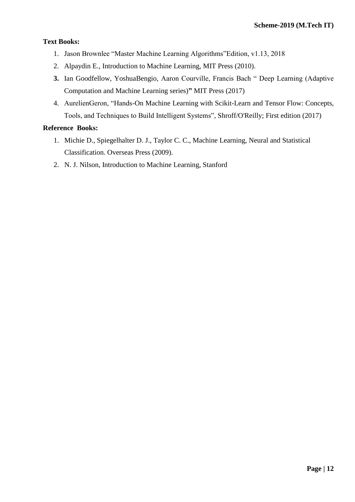# **Text Books:**

- 1. Jason Brownlee "Master Machine Learning Algorithms"Edition, v1.13, 2018
- 2. Alpaydin E., Introduction to Machine Learning, MIT Press (2010).
- **3.** Ian Goodfellow, YoshuaBengio, Aaron Courville, Francis Bach " Deep Learning (Adaptive Computation and Machine Learning series)**"** MIT Press (2017)
- 4. AurelienGeron, "Hands-On Machine Learning with Scikit-Learn and Tensor Flow: Concepts, Tools, and Techniques to Build Intelligent Systems", Shroff/O'Reilly; First edition (2017)

- 1. Michie D., Spiegelhalter D. J., Taylor C. C., Machine Learning, Neural and Statistical Classification. Overseas Press (2009).
- 2. N. J. Nilson, Introduction to Machine Learning, Stanford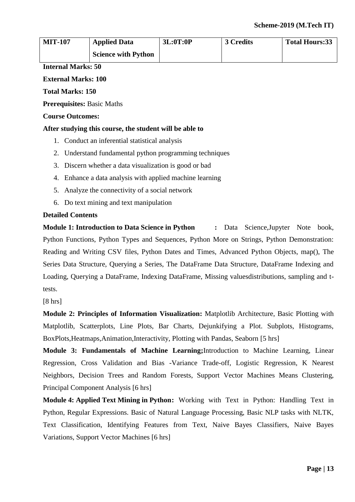| <b>MIT-107</b> | <b>Applied Data</b>        | 3L:0T:0P | 3 Credits | <b>Total Hours:33</b> |
|----------------|----------------------------|----------|-----------|-----------------------|
|                | <b>Science with Python</b> |          |           |                       |

#### **External Marks: 100**

**Total Marks: 150**

**Prerequisites:** Basic Maths

#### **Course Outcomes:**

#### **After studying this course, the student will be able to**

- 1. Conduct an inferential statistical analysis
- 2. Understand fundamental python programming techniques
- 3. Discern whether a data visualization is good or bad
- 4. Enhance a data analysis with applied machine learning
- 5. Analyze the connectivity of a social network
- 6. Do text mining and text manipulation

### **Detailed Contents**

**Module 1: Introduction to Data Science in Python :** Data Science,Jupyter Note book, Python Functions, Python Types and Sequences, Python More on Strings, Python Demonstration: Reading and Writing CSV files, Python Dates and Times, Advanced Python Objects, map(), The Series Data Structure, Querying a Series, The DataFrame Data Structure, DataFrame Indexing and Loading, Querying a DataFrame, Indexing DataFrame, Missing valuesdistributions, sampling and ttests.

[8 hrs]

**Module 2: Principles of Information Visualization:** Matplotlib Architecture, Basic Plotting with Matplotlib, Scatterplots, Line Plots, Bar Charts, Dejunkifying a Plot. Subplots, Histograms, BoxPlots,Heatmaps,Animation,Interactivity, Plotting with Pandas, Seaborn [5 hrs]

**Module 3: Fundamentals of Machine Learning;**Introduction to Machine Learning, Linear Regression, Cross Validation and Bias -Variance Trade-off, Logistic Regression, K Nearest Neighbors, Decision Trees and Random Forests, Support Vector Machines Means Clustering, Principal Component Analysis [6 hrs]

**Module 4: Applied Text Mining in Python:** Working with Text in Python: Handling Text in Python, Regular Expressions. Basic of Natural Language Processing, Basic NLP tasks with NLTK, Text Classification, Identifying Features from Text, Naive Bayes Classifiers, Naive Bayes Variations, Support Vector Machines [6 hrs]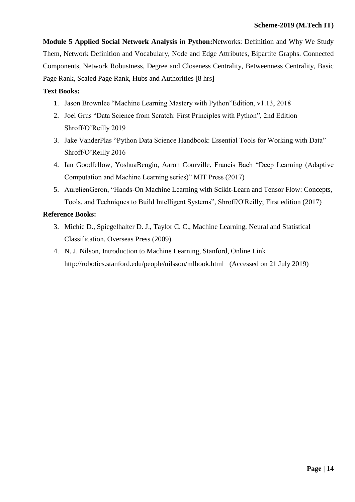**Module 5 Applied Social Network Analysis in Python:**Networks: Definition and Why We Study Them, Network Definition and Vocabulary, Node and Edge Attributes, Bipartite Graphs. Connected Components, Network Robustness, Degree and Closeness Centrality, Betweenness Centrality, Basic Page Rank, Scaled Page Rank, Hubs and Authorities [8 hrs]

# **Text Books:**

- 1. Jason Brownlee "Machine Learning Mastery with Python"Edition, v1.13, 2018
- 2. Joel Grus "Data Science from Scratch: First Principles with Python", 2nd Edition Shroff/O'Reilly 2019
- 3. Jake VanderPlas "Python Data Science Handbook: Essential Tools for Working with Data" Shroff/O'Reilly 2016
- 4. Ian Goodfellow, YoshuaBengio, Aaron Courville, Francis Bach "Deep Learning (Adaptive Computation and Machine Learning series)" MIT Press (2017)
- 5. AurelienGeron, "Hands-On Machine Learning with Scikit-Learn and Tensor Flow: Concepts, Tools, and Techniques to Build Intelligent Systems", Shroff/O'Reilly; First edition (2017)

- 3. Michie D., Spiegelhalter D. J., Taylor C. C., Machine Learning, Neural and Statistical Classification. Overseas Press (2009).
- 4. N. J. Nilson, Introduction to Machine Learning, Stanford, Online Link <http://robotics.stanford.edu/people/nilsson/mlbook.html> (Accessed on 21 July 2019)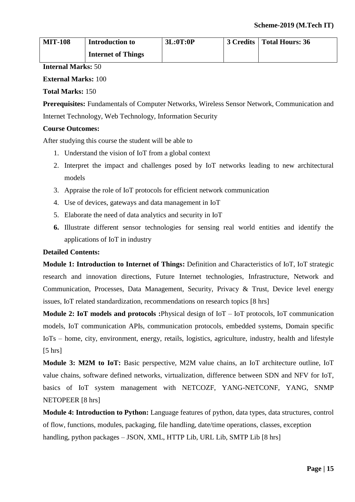| <b>MIT-108</b> | <b>Introduction to</b>    | 3L:0T:0P | 3 Credits   Total Hours: 36 |
|----------------|---------------------------|----------|-----------------------------|
|                | <b>Internet of Things</b> |          |                             |

**External Marks:** 100

**Total Marks:** 150

**Prerequisites:** Fundamentals of Computer Networks, Wireless Sensor Network, Communication and Internet Technology, Web Technology, Information Security

# **Course Outcomes:**

After studying this course the student will be able to

- 1. Understand the vision of IoT from a global context
- 2. Interpret the impact and challenges posed by IoT networks leading to new architectural models
- 3. Appraise the role of IoT protocols for efficient network communication
- 4. Use of devices, gateways and data management in IoT
- 5. Elaborate the need of data analytics and security in IoT
- **6.** Illustrate different sensor technologies for sensing real world entities and identify the applications of IoT in industry

# **Detailed Contents:**

**Module 1: Introduction to Internet of Things:** Definition and Characteristics of IoT, IoT strategic research and innovation directions, Future Internet technologies, Infrastructure, Network and Communication, Processes, Data Management, Security, Privacy & Trust, Device level energy issues, IoT related standardization, recommendations on research topics [8 hrs]

**Module 2: IoT models and protocols :**Physical design of IoT – IoT protocols, IoT communication models, IoT communication APIs, communication protocols, embedded systems, Domain specific IoTs – home, city, environment, energy, retails, logistics, agriculture, industry, health and lifestyle  $[5 \text{ hrs}]$ 

**Module 3: M2M to IoT:** Basic perspective, M2M value chains, an IoT architecture outline, IoT value chains, software defined networks, virtualization, difference between SDN and NFV for IoT, basics of IoT system management with NETCOZF, YANG-NETCONF, YANG, SNMP NETOPEER [8 hrs]

**Module 4: Introduction to Python:** Language features of python, data types, data structures, control of flow, functions, modules, packaging, file handling, date/time operations, classes, exception handling, python packages – JSON, XML, HTTP Lib, URL Lib, SMTP Lib [8 hrs]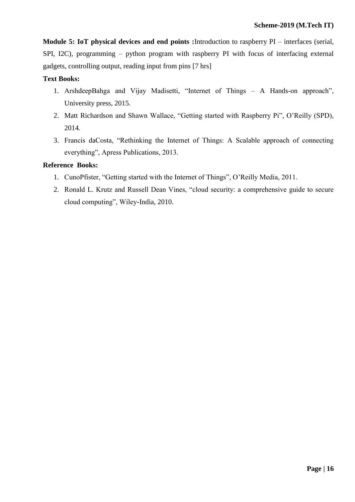**Module 5: IoT physical devices and end points :**Introduction to raspberry PI – interfaces (serial, SPI, I2C), programming – python program with raspberry PI with focus of interfacing external gadgets, controlling output, reading input from pins [7 hrs]

# **Text Books:**

- 1. ArshdeepBahga and Vijay Madisetti, "Internet of Things A Hands-on approach", University press, 2015.
- 2. Matt Richardson and Shawn Wallace, "Getting started with Raspberry Pi", O'Reilly (SPD), 2014.
- 3. Francis daCosta, "Rethinking the Internet of Things: A Scalable approach of connecting everything", Apress Publications, 2013.

- 1. CunoPfister, "Getting started with the Internet of Things", O'Reilly Media, 2011.
- 2. Ronald L. Krutz and Russell Dean Vines, "cloud security: a comprehensive guide to secure cloud computing", Wiley-India, 2010.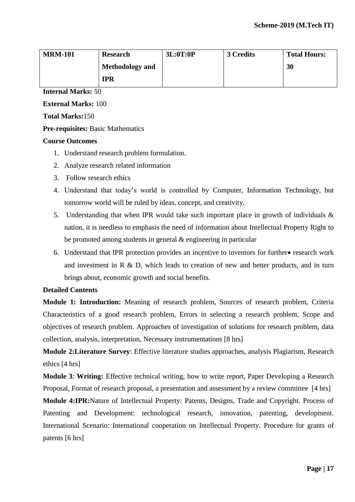| <b>MRM-101</b> | <b>Research</b>        | 3L:0T:0P | 3 Credits | <b>Total Hours:</b> |
|----------------|------------------------|----------|-----------|---------------------|
|                | <b>Methodology and</b> |          |           | 30                  |
|                | <b>IPR</b>             |          |           |                     |

**External Marks:** 100

**Total Marks:**150

# **Pre-requisites:** Basic Mathematics

### **Course Outcomes**

- 1. Understand research problem formulation.
- 2. Analyze research related information
- 3. Follow research ethics
- 4. Understand that today's world is controlled by Computer, Information Technology, but tomorrow world will be ruled by ideas, concept, and creativity.
- 5. Understanding that when IPR would take such important place in growth of individuals & nation, it is needless to emphasis the need of information about Intellectual Property Right to be promoted among students in general & engineering in particular
- 6. Understand that IPR protection provides an incentive to inventors for further research work and investment in R & D, which leads to creation of new and better products, and in turn brings about, economic growth and social benefits.

#### **Detailed Contents**

**Module 1: Introduction:** Meaning of research problem, Sources of research problem, Criteria Characteristics of a good research problem, Errors in selecting a research problem, Scope and objectives of research problem. Approaches of investigation of solutions for research problem, data collection, analysis, interpretation, Necessary instrumentations [8 hrs]

**Module 2:Literature Survey**: Effective literature studies approaches, analysis Plagiarism, Research ethics [4 hrs]

**Module 3**: **Writing:** Effective technical writing, how to write report, Paper Developing a Research Proposal, Format of research proposal, a presentation and assessment by a review committee [4 hrs]

**Module 4:IPR:**Nature of Intellectual Property: Patents, Designs, Trade and Copyright. Process of Patenting and Development: technological research, innovation, patenting, development. International Scenario: International cooperation on Intellectual Property. Procedure for grants of patents [6 hrs]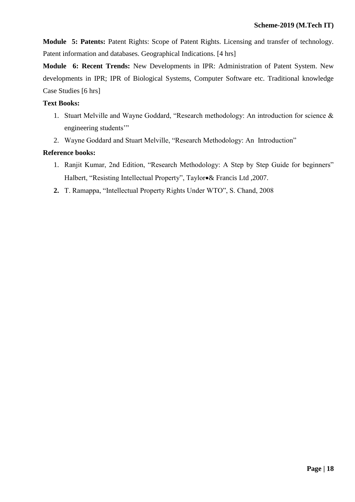**Module 5: Patents:** Patent Rights: Scope of Patent Rights. Licensing and transfer of technology. Patent information and databases. Geographical Indications. [4 hrs]

**Module 6: Recent Trends:** New Developments in IPR: Administration of Patent System. New developments in IPR; IPR of Biological Systems, Computer Software etc. Traditional knowledge Case Studies [6 hrs]

# **Text Books:**

- 1. Stuart Melville and Wayne Goddard, "Research methodology: An introduction for science & engineering students'"
- 2. Wayne Goddard and Stuart Melville, "Research Methodology: An Introduction"

- 1. Ranjit Kumar, 2nd Edition, "Research Methodology: A Step by Step Guide for beginners" Halbert, "Resisting Intellectual Property", Taylor& Francis Ltd ,2007.
- **2.** T. Ramappa, "Intellectual Property Rights Under WTO", S. Chand, 2008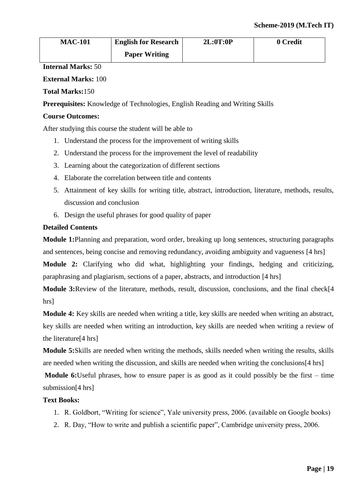| <b>MAC-101</b> | <b>English for Research</b> | 2L:0T:0P | 0 Credit |
|----------------|-----------------------------|----------|----------|
|                | <b>Paper Writing</b>        |          |          |

# **External Marks:** 100

# **Total Marks:**150

**Prerequisites:** Knowledge of Technologies, English Reading and Writing Skills

# **Course Outcomes:**

After studying this course the student will be able to

- 1. Understand the process for the improvement of writing skills
- 2. Understand the process for the improvement the level of readability
- 3. Learning about the categorization of different sections
- 4. Elaborate the correlation between title and contents
- 5. Attainment of key skills for writing title, abstract, introduction, literature, methods, results, discussion and conclusion
- 6. Design the useful phrases for good quality of paper

# **Detailed Contents**

**Module 1:**Planning and preparation, word order, breaking up long sentences, structuring paragraphs and sentences, being concise and removing redundancy, avoiding ambiguity and vagueness [4 hrs]

**Module 2:** Clarifying who did what, highlighting your findings, hedging and criticizing, paraphrasing and plagiarism, sections of a paper, abstracts, and introduction [4 hrs]

**Module 3:**Review of the literature, methods, result, discussion, conclusions, and the final check[4 hrs]

**Module 4:** Key skills are needed when writing a title, key skills are needed when writing an abstract, key skills are needed when writing an introduction, key skills are needed when writing a review of the literature[4 hrs]

**Module 5:**Skills are needed when writing the methods, skills needed when writing the results, skills are needed when writing the discussion, and skills are needed when writing the conclusions[4 hrs]

**Module 6:**Useful phrases, how to ensure paper is as good as it could possibly be the first – time submission[4 hrs]

# **Text Books:**

- 1. R. Goldbort, "Writing for science", Yale university press, 2006. (available on Google books)
- 2. R. Day, "How to write and publish a scientific paper", Cambridge university press, 2006.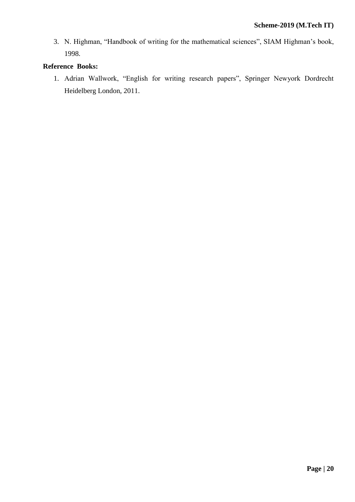3. N. Highman, "Handbook of writing for the mathematical sciences", SIAM Highman's book, 1998.

# **Reference Books:**

1. Adrian Wallwork, "English for writing research papers", Springer Newyork Dordrecht Heidelberg London, 2011.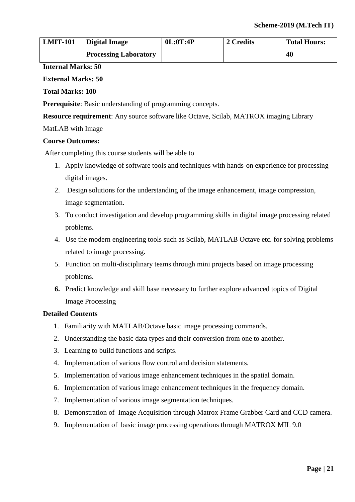| <b>LMIT-101</b> | <b>Digital Image</b>         | 0L:0T:4P | 2 Credits | <b>Total Hours:</b> |
|-----------------|------------------------------|----------|-----------|---------------------|
|                 | <b>Processing Laboratory</b> |          |           | 40                  |

# **External Marks: 50**

### **Total Marks: 100**

**Prerequisite**: Basic understanding of programming concepts.

**Resource requirement**: Any source software like Octave, Scilab, MATROX imaging Library

### MatLAB with Image

### **Course Outcomes:**

After completing this course students will be able to

- 1. Apply knowledge of software tools and techniques with hands-on experience for processing digital images.
- 2. Design solutions for the understanding of the image enhancement, image compression, image segmentation.
- 3. To conduct investigation and develop programming skills in digital image processing related problems.
- 4. Use the modern engineering tools such as Scilab, MATLAB Octave etc. for solving problems related to image processing.
- 5. Function on multi-disciplinary teams through mini projects based on image processing problems.
- **6.** Predict knowledge and skill base necessary to further explore advanced topics of Digital Image Processing

### **Detailed Contents**

- 1. Familiarity with MATLAB/Octave basic image processing commands.
- 2. Understanding the basic data types and their conversion from one to another.
- 3. Learning to build functions and scripts.
- 4. Implementation of various flow control and decision statements.
- 5. Implementation of various image enhancement techniques in the spatial domain.
- 6. Implementation of various image enhancement techniques in the frequency domain.
- 7. Implementation of various image segmentation techniques.
- 8. Demonstration of Image Acquisition through Matrox Frame Grabber Card and CCD camera.
- 9. Implementation of basic image processing operations through MATROX MIL 9.0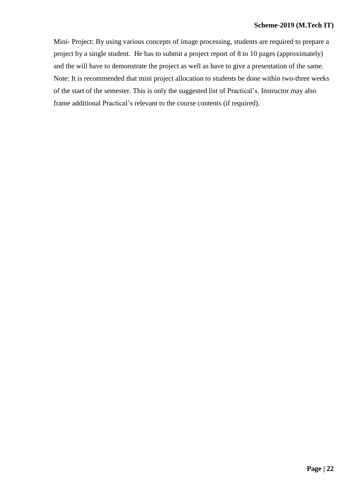Mini- Project: By using various concepts of image processing, students are required to prepare a project by a single student. He has to submit a project report of 8 to 10 pages (approximately) and the will have to demonstrate the project as well as have to give a presentation of the same. Note: It is recommended that mini project allocation to students be done within two-three weeks of the start of the semester. This is only the suggested list of Practical's. Instructor may also frame additional Practical's relevant to the course contents (if required).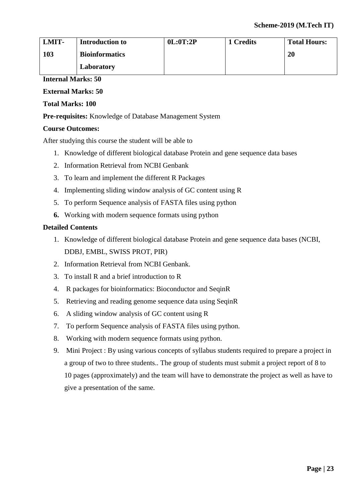| <b>LMIT-</b> | <b>Introduction to</b> | 0L:0T:2P | 1 Credits | <b>Total Hours:</b> |
|--------------|------------------------|----------|-----------|---------------------|
| 103          | <b>Bioinformatics</b>  |          |           | 20                  |
|              | Laboratory             |          |           |                     |

# **External Marks: 50**

# **Total Marks: 100**

**Pre-requisites:** Knowledge of Database Management System

# **Course Outcomes:**

After studying this course the student will be able to

- 1. Knowledge of different biological database Protein and gene sequence data bases
- 2. Information Retrieval from NCBI Genbank
- 3. To learn and implement the different R Packages
- 4. Implementing sliding window analysis of GC content using R
- 5. To perform Sequence analysis of FASTA files using python
- **6.** Working with modern sequence formats using python

# **Detailed Contents**

- 1. Knowledge of different biological database Protein and gene sequence data bases (NCBI, DDBJ, EMBL, SWISS PROT, PIR)
- 2. Information Retrieval from NCBI Genbank.
- 3. To install R and a brief introduction to R
- 4. R packages for bioinformatics: Bioconductor and SeqinR
- 5. Retrieving and reading genome sequence data using SeqinR
- 6. A sliding window analysis of GC content using R
- 7. To perform Sequence analysis of FASTA files using python.
- 8. Working with modern sequence formats using python.
- 9. Mini Project : By using various concepts of syllabus students required to prepare a project in a group of two to three students.. The group of students must submit a project report of 8 to 10 pages (approximately) and the team will have to demonstrate the project as well as have to give a presentation of the same.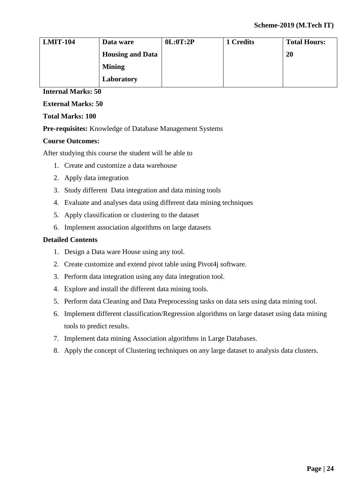| <b>LMIT-104</b> | Data ware               | 0L:0T:2P | 1 Credits | <b>Total Hours:</b> |
|-----------------|-------------------------|----------|-----------|---------------------|
|                 | <b>Housing and Data</b> |          |           | <b>20</b>           |
|                 | <b>Mining</b>           |          |           |                     |
|                 | Laboratory              |          |           |                     |

**External Marks: 50**

# **Total Marks: 100**

**Pre-requisites:** Knowledge of Database Management Systems

# **Course Outcomes:**

After studying this course the student will be able to

- 1. Create and customize a data warehouse
- 2. Apply data integration
- 3. Study different Data integration and data mining tools
- 4. Evaluate and analyses data using different data mining techniques
- 5. Apply classification or clustering to the dataset
- 6. Implement association algorithms on large datasets

#### **Detailed Contents**

- 1. Design a Data ware House using any tool.
- 2. Create customize and extend pivot table using Pivot4j software.
- 3. Perform data integration using any data integration tool.
- 4. Explore and install the different data mining tools.
- 5. Perform data Cleaning and Data Preprocessing tasks on data sets using data mining tool.
- 6. Implement different classification/Regression algorithms on large dataset using data mining tools to predict results.
- 7. Implement data mining Association algorithms in Large Databases.
- 8. Apply the concept of Clustering techniques on any large dataset to analysis data clusters.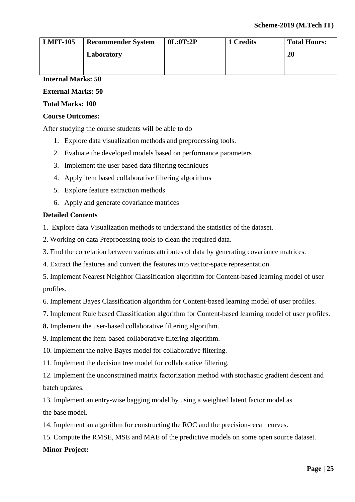| <b>LMIT-105</b> | <b>Recommender System</b> | 0L:0T:2P | 1 Credits | <b>Total Hours:</b> |
|-----------------|---------------------------|----------|-----------|---------------------|
|                 | Laboratory                |          |           | 20                  |
|                 |                           |          |           |                     |

# **External Marks: 50**

# **Total Marks: 100**

### **Course Outcomes:**

After studying the course students will be able to do

- 1. Explore data visualization methods and preprocessing tools.
- 2. Evaluate the developed models based on performance parameters
- 3. Implement the user based data filtering techniques
- 4. Apply item based collaborative filtering algorithms
- 5. Explore feature extraction methods
- 6. Apply and generate covariance matrices

# **Detailed Contents**

1. Explore data Visualization methods to understand the statistics of the dataset.

- 2. Working on data Preprocessing tools to clean the required data.
- 3. Find the correlation between various attributes of data by generating covariance matrices.
- 4. Extract the features and convert the features into vector-space representation.
- 5. Implement Nearest Neighbor Classification algorithm for Content-based learning model of user profiles.
- 6. Implement Bayes Classification algorithm for Content-based learning model of user profiles.
- 7. Implement Rule based Classification algorithm for Content-based learning model of user profiles.
- **8.** Implement the user-based collaborative filtering algorithm.
- 9. Implement the item-based collaborative filtering algorithm.
- 10. Implement the naive Bayes model for collaborative filtering.
- 11. Implement the decision tree model for collaborative filtering.
- 12. Implement the unconstrained matrix factorization method with stochastic gradient descent and batch updates.

13. Implement an entry-wise bagging model by using a weighted latent factor model as the base model.

- 14. Implement an algorithm for constructing the ROC and the precision-recall curves.
- 15. Compute the RMSE, MSE and MAE of the predictive models on some open source dataset.

#### **Minor Project:**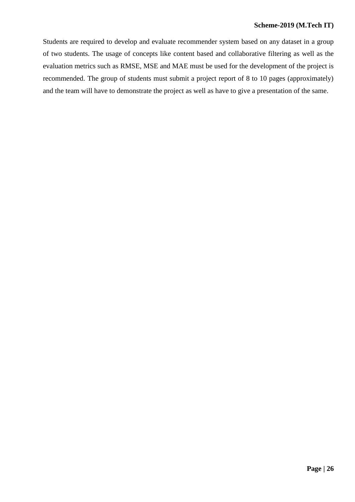#### **Scheme-2019 (M.Tech IT)**

Students are required to develop and evaluate recommender system based on any dataset in a group of two students. The usage of concepts like content based and collaborative filtering as well as the evaluation metrics such as RMSE, MSE and MAE must be used for the development of the project is recommended. The group of students must submit a project report of 8 to 10 pages (approximately) and the team will have to demonstrate the project as well as have to give a presentation of the same.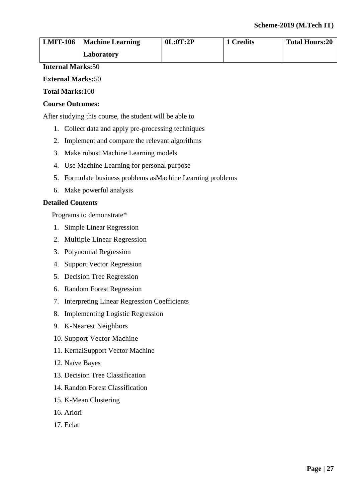| <b>LMIT-106</b> | <b>Machine Learning</b> | 0L:0T:2P | 1 Credits | <b>Total Hours:20</b> |
|-----------------|-------------------------|----------|-----------|-----------------------|
|                 | Laboratory              |          |           |                       |

### **External Marks:**50

#### **Total Marks:**100

# **Course Outcomes:**

After studying this course, the student will be able to

- 1. Collect data and apply pre-processing techniques
- 2. Implement and compare the relevant algorithms
- 3. Make robust Machine Learning models
- 4. Use Machine Learning for personal purpose
- 5. Formulate business problems asMachine Learning problems
- 6. Make powerful analysis

#### **Detailed Contents**

Programs to demonstrate\*

- 1. Simple Linear Regression
- 2. Multiple Linear Regression
- 3. Polynomial Regression
- 4. Support Vector Regression
- 5. Decision Tree Regression
- 6. Random Forest Regression
- 7. Interpreting Linear Regression Coefficients
- 8. Implementing Logistic Regression
- 9. K-Nearest Neighbors
- 10. Support Vector Machine
- 11. KernalSupport Vector Machine
- 12. Naïve Bayes
- 13. Decision Tree Classification
- 14. Randon Forest Classification
- 15. K-Mean Clustering
- 16. Ariori
- 17. Eclat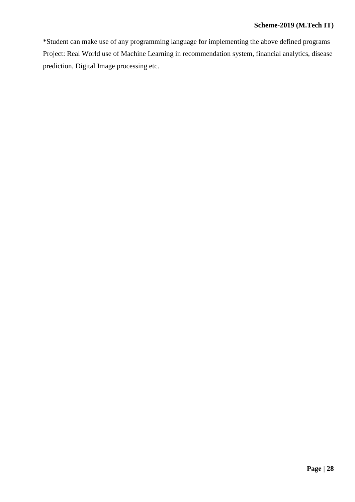# **Scheme-2019 (M.Tech IT)**

\*Student can make use of any programming language for implementing the above defined programs Project: Real World use of Machine Learning in recommendation system, financial analytics, disease prediction, Digital Image processing etc.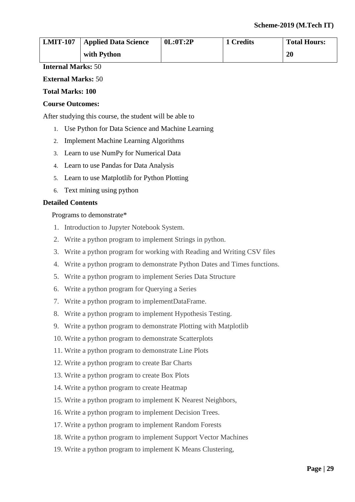| <b>LMIT-107</b> | <sup>1</sup> Applied Data Science | 0L:0T:2P | 1 Credits | <b>Total Hours:</b> |
|-----------------|-----------------------------------|----------|-----------|---------------------|
|                 | with Python                       |          |           | <b>20</b>           |

### **External Marks:** 50

#### **Total Marks: 100**

#### **Course Outcomes:**

After studying this course, the student will be able to

- 1. Use Python for Data Science and Machine Learning
- 2. Implement Machine Learning Algorithms
- 3. Learn to use NumPy for Numerical Data
- 4. Learn to use Pandas for Data Analysis
- 5. Learn to use Matplotlib for Python Plotting
- 6. Text mining using python

#### **Detailed Contents**

#### Programs to demonstrate\*

- 1. Introduction to Jupyter Notebook System.
- 2. Write a python program to implement Strings in python.
- 3. Write a python program for working with Reading and Writing CSV files
- 4. Write a python program to demonstrate Python Dates and Times functions.
- 5. Write a python program to implement Series Data Structure
- 6. Write a python program for Querying a Series
- 7. Write a python program to implementDataFrame.
- 8. Write a python program to implement Hypothesis Testing.
- 9. Write a python program to demonstrate Plotting with Matplotlib
- 10. Write a python program to demonstrate Scatterplots
- 11. Write a python program to demonstrate Line Plots
- 12. Write a python program to create Bar Charts
- 13. Write a python program to create Box Plots
- 14. Write a python program to create Heatmap
- 15. Write a python program to implement K Nearest Neighbors,
- 16. Write a python program to implement Decision Trees.
- 17. Write a python program to implement Random Forests
- 18. Write a python program to implement Support Vector Machines
- 19. Write a python program to implement K Means Clustering,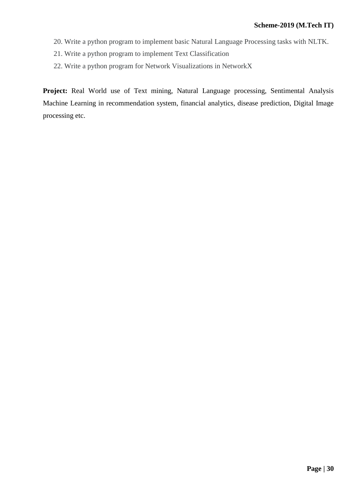- 20. Write a python program to implement basic Natural Language Processing tasks with NLTK.
- 21. Write a python program to implement Text Classification
- 22. Write a python program for Network Visualizations in NetworkX

**Project:** Real World use of Text mining, Natural Language processing, Sentimental Analysis Machine Learning in recommendation system, financial analytics, disease prediction, Digital Image processing etc.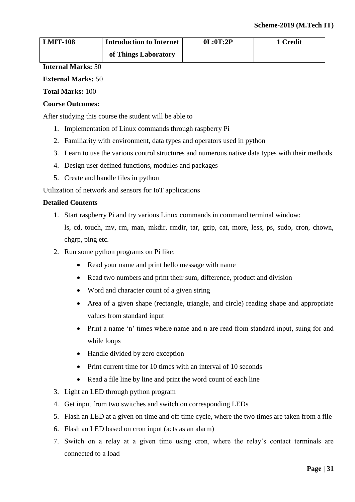| <b>LMIT-108</b> | <b>Introduction to Internet</b> | 0L:0T:2P | 1 Credit |
|-----------------|---------------------------------|----------|----------|
|                 | of Things Laboratory            |          |          |

# **External Marks:** 50

**Total Marks:** 100

# **Course Outcomes:**

After studying this course the student will be able to

- 1. Implementation of Linux commands through raspberry Pi
- 2. Familiarity with environment, data types and operators used in python
- 3. Learn to use the various control structures and numerous native data types with their methods
- 4. Design user defined functions, modules and packages
- 5. Create and handle files in python

Utilization of network and sensors for IoT applications

# **Detailed Contents**

1. Start raspberry Pi and try various Linux commands in command terminal window:

ls, cd, touch, mv, rm, man, mkdir, rmdir, tar, gzip, cat, more, less, ps, sudo, cron, chown, chgrp, ping etc.

- 2. Run some python programs on Pi like:
	- Read your name and print hello message with name
	- Read two numbers and print their sum, difference, product and division
	- Word and character count of a given string
	- Area of a given shape (rectangle, triangle, and circle) reading shape and appropriate values from standard input
	- Print a name 'n' times where name and n are read from standard input, suing for and while loops
	- Handle divided by zero exception
	- Print current time for 10 times with an interval of 10 seconds
	- Read a file line by line and print the word count of each line
- 3. Light an LED through python program
- 4. Get input from two switches and switch on corresponding LEDs
- 5. Flash an LED at a given on time and off time cycle, where the two times are taken from a file
- 6. Flash an LED based on cron input (acts as an alarm)
- 7. Switch on a relay at a given time using cron, where the relay's contact terminals are connected to a load